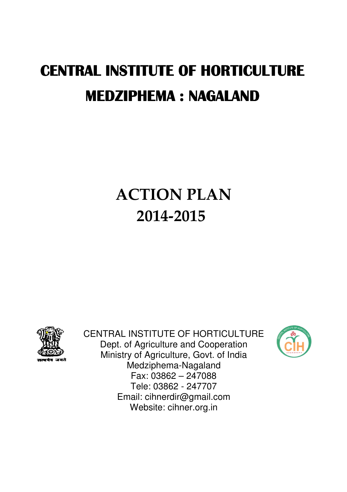# CENTRAL INSTITUTE OF HORTICULTURE MEDZIPHEMA : NAGALAND

# ACTION PLAN 2014-2015



CENTRAL INSTITUTE OF HORTICULTURE Dept. of Agriculture and Cooperation Ministry of Agriculture, Govt. of India Medziphema-Nagaland Fax: 03862 – 247088 Tele: 03862 - 247707 Email: cihnerdir@gmail.com Website: cihner.org.in

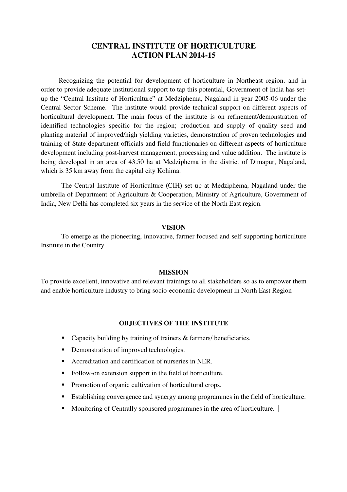Recognizing the potential for development of horticulture in Northeast region, and in order to provide adequate institutional support to tap this potential, Government of India has setup the "Central Institute of Horticulture" at Medziphema, Nagaland in year 2005-06 under the Central Sector Scheme. The institute would provide technical support on different aspects of horticultural development. The main focus of the institute is on refinement/demonstration of identified technologies specific for the region; production and supply of quality seed and planting material of improved/high yielding varieties, demonstration of proven technologies and training of State department officials and field functionaries on different aspects of horticulture development including post-harvest management, processing and value addition. The institute is being developed in an area of 43.50 ha at Medziphema in the district of Dimapur, Nagaland, which is 35 km away from the capital city Kohima.

The Central Institute of Horticulture (CIH) set up at Medziphema, Nagaland under the umbrella of Department of Agriculture & Cooperation, Ministry of Agriculture, Government of India, New Delhi has completed six years in the service of the North East region.

#### **VISION**

To emerge as the pioneering, innovative, farmer focused and self supporting horticulture Institute in the Country.

#### **MISSION**

To provide excellent, innovative and relevant trainings to all stakeholders so as to empower them and enable horticulture industry to bring socio-economic development in North East Region

#### **OBJECTIVES OF THE INSTITUTE**

- Capacity building by training of trainers & farmers/ beneficiaries.
- Demonstration of improved technologies.
- Accreditation and certification of nurseries in NER.
- Follow-on extension support in the field of horticulture.
- Promotion of organic cultivation of horticultural crops.
- Establishing convergence and synergy among programmes in the field of horticulture.
- Monitoring of Centrally sponsored programmes in the area of horticulture.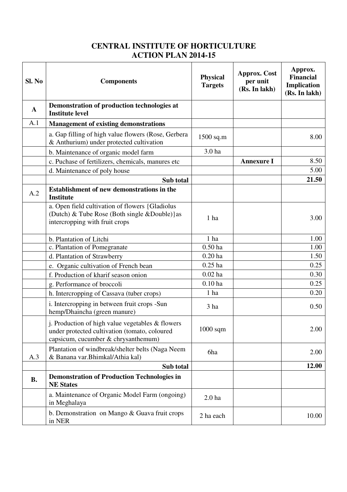| Sl. No    | <b>Components</b>                                                                                                                          | <b>Physical</b><br><b>Targets</b> | <b>Approx.</b> Cost<br>per unit<br>(Rs. In lakh) | Approx.<br><b>Financial</b><br>Implication<br>(Rs. In lakh) |
|-----------|--------------------------------------------------------------------------------------------------------------------------------------------|-----------------------------------|--------------------------------------------------|-------------------------------------------------------------|
| A         | Demonstration of production technologies at<br><b>Institute level</b>                                                                      |                                   |                                                  |                                                             |
| A.1       | <b>Management of existing demonstrations</b>                                                                                               |                                   |                                                  |                                                             |
|           | a. Gap filling of high value flowers (Rose, Gerbera<br>& Anthurium) under protected cultivation                                            | $1500$ sq.m                       |                                                  | 8.00                                                        |
|           | b. Maintenance of organic model farm                                                                                                       | 3.0 ha                            |                                                  |                                                             |
|           | c. Puchase of fertilizers, chemicals, manures etc<br>d. Maintenance of poly house                                                          |                                   | <b>Annexure I</b>                                | 8.50<br>5.00                                                |
|           | Sub total                                                                                                                                  |                                   |                                                  | 21.50                                                       |
| A.2       | <b>Establishment of new demonstrations in the</b><br><b>Institute</b>                                                                      |                                   |                                                  |                                                             |
|           | a. Open field cultivation of flowers {Gladiolus<br>(Dutch) & Tube Rose (Both single & Double) } as<br>intercropping with fruit crops       | 1 ha                              |                                                  | 3.00                                                        |
|           | b. Plantation of Litchi                                                                                                                    | 1 <sub>ha</sub>                   |                                                  | 1.00                                                        |
|           | c. Plantation of Pomegranate                                                                                                               | $0.50$ ha                         |                                                  | 1.00                                                        |
|           | d. Plantation of Strawberry                                                                                                                | $0.20$ ha                         |                                                  | 1.50                                                        |
|           | e. Organic cultivation of French bean                                                                                                      | $0.25$ ha                         |                                                  | 0.25                                                        |
|           | f. Production of kharif season onion                                                                                                       | $0.02$ ha                         |                                                  | 0.30                                                        |
|           | g. Performance of broccoli                                                                                                                 | $0.10$ ha                         |                                                  | 0.25                                                        |
|           | h. Intercropping of Cassava (tuber crops)                                                                                                  | 1 ha                              |                                                  | 0.20                                                        |
|           | i. Intercropping in between fruit crops -Sun<br>hemp/Dhaincha (green manure)                                                               | 3 ha                              |                                                  | 0.50                                                        |
|           | j. Production of high value vegetables $&$ flowers<br>under protected cultivation (tomato, coloured<br>capsicum, cucumber & chrysanthemum) | $1000$ sqm                        |                                                  | 2.00                                                        |
| A.3       | Plantation of windbreak/shelter belts (Naga Neem<br>& Banana var. Bhimkal/Athia kal)                                                       | 6ha                               |                                                  | 2.00                                                        |
|           | Sub total                                                                                                                                  |                                   |                                                  | 12.00                                                       |
| <b>B.</b> | <b>Demonstration of Production Technologies in</b><br><b>NE States</b>                                                                     |                                   |                                                  |                                                             |
|           | a. Maintenance of Organic Model Farm (ongoing)<br>in Meghalaya                                                                             | 2.0 <sub>ha</sub>                 |                                                  |                                                             |
|           | b. Demonstration on Mango & Guava fruit crops<br>in NER                                                                                    | 2 ha each                         |                                                  | 10.00                                                       |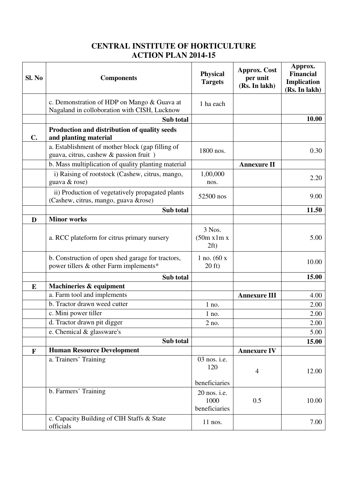| Sl. No        | <b>Components</b>                                                                           | <b>Physical</b><br><b>Targets</b>     | <b>Approx.</b> Cost<br>per unit<br>(Rs. In lakh) | Approx.<br><b>Financial</b><br>Implication<br>(Rs. In lakh) |
|---------------|---------------------------------------------------------------------------------------------|---------------------------------------|--------------------------------------------------|-------------------------------------------------------------|
|               | c. Demonstration of HDP on Mango & Guava at<br>Nagaland in colloboration with CISH, Lucknow | 1 ha each                             |                                                  |                                                             |
|               | Sub total                                                                                   |                                       |                                                  | 10.00                                                       |
| $C_{\bullet}$ | Production and distribution of quality seeds<br>and planting material                       |                                       |                                                  |                                                             |
|               | a. Establishment of mother block (gap filling of<br>guava, citrus, cashew & passion fruit)  | 1800 nos.                             |                                                  | 0.30                                                        |
|               | b. Mass multiplication of quality planting material                                         |                                       | <b>Annexure II</b>                               |                                                             |
|               | i) Raising of rootstock (Cashew, citrus, mango,<br>guava & rose)                            | 1,00,000<br>nos.                      |                                                  | 2.20                                                        |
|               | ii) Production of vegetatively propagated plants<br>(Cashew, citrus, mango, guava &rose)    | 52500 nos                             |                                                  | 9.00                                                        |
|               | Sub total                                                                                   |                                       |                                                  | 11.50                                                       |
| D             | <b>Minor works</b>                                                                          |                                       |                                                  |                                                             |
|               | a. RCC plateform for citrus primary nursery                                                 | 3 Nos.<br>(50m x 1m x)<br>2ft)        |                                                  | 5.00                                                        |
|               | b. Construction of open shed garage for tractors,<br>power tillers & other Farm implements* | 1 no. $(60 x)$<br>$20 \text{ ft}$     |                                                  | 10.00                                                       |
|               | Sub total                                                                                   |                                       |                                                  | 15.00                                                       |
| E             | Machineries & equipment                                                                     |                                       |                                                  |                                                             |
|               | a. Farm tool and implements                                                                 |                                       | <b>Annexure III</b>                              | 4.00                                                        |
|               | b. Tractor drawn weed cutter                                                                | $1$ no.                               |                                                  | 2.00                                                        |
|               | c. Mini power tiller                                                                        | $1$ no.                               |                                                  | 2.00                                                        |
|               | d. Tractor drawn pit digger                                                                 | 2 no                                  |                                                  | 2.00                                                        |
|               | e. Chemical & glassware's                                                                   |                                       |                                                  | 5.00                                                        |
|               | Sub total                                                                                   |                                       |                                                  | 15.00                                                       |
| F             | <b>Human Resource Development</b>                                                           |                                       | <b>Annexure IV</b>                               |                                                             |
|               | a. Trainers' Training                                                                       | 03 nos. i.e.<br>120                   | $\overline{4}$                                   | 12.00                                                       |
|               |                                                                                             | beneficiaries                         |                                                  |                                                             |
|               | b. Farmers' Training                                                                        | 20 nos. i.e.<br>1000<br>beneficiaries | 0.5                                              | 10.00                                                       |
|               | c. Capacity Building of CIH Staffs & State<br>officials                                     | 11 nos.                               |                                                  | 7.00                                                        |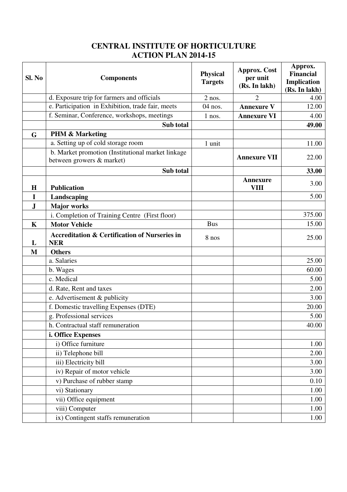| d. Exposure trip for farmers and officials<br>$\overline{2}$<br>$2$ nos.<br>e. Participation in Exhibition, trade fair, meets<br>04 nos.<br><b>Annexure V</b><br>f. Seminar, Conference, workshops, meetings<br><b>Annexure VI</b><br>$1$ nos.<br>Sub total<br><b>PHM &amp; Marketing</b><br>G<br>a. Setting up of cold storage room<br>1 unit<br>b. Market promotion (Institutional market linkage<br><b>Annexure VII</b><br>between growers & market)<br>Sub total<br><b>Annexure</b><br><b>VIII</b><br><b>Publication</b><br>H<br>Landscaping<br>I<br>${\bf J}$<br><b>Major works</b><br>i. Completion of Training Centre (First floor)<br><b>Bus</b><br><b>Motor Vehicle</b><br>$\mathbf K$<br><b>Accreditation &amp; Certification of Nurseries in</b><br>8 nos<br><b>NER</b><br>L<br>M<br><b>Others</b><br>a. Salaries<br>b. Wages<br>c. Medical<br>d. Rate, Rent and taxes<br>e. Advertisement & publicity<br>f. Domestic travelling Expenses (DTE)<br>g. Professional services<br>h. Contractual staff remuneration<br>i. Office Expenses<br>i) Office furniture<br>ii) Telephone bill<br>iii) Electricity bill<br>iv) Repair of motor vehicle<br>v) Purchase of rubber stamp | Sl. No | <b>Components</b> | <b>Physical</b><br><b>Targets</b> | <b>Approx.</b> Cost<br>per unit<br>(Rs. In lakh) | Approx.<br><b>Financial</b><br>Implication<br>(Rs. In lakh) |
|---------------------------------------------------------------------------------------------------------------------------------------------------------------------------------------------------------------------------------------------------------------------------------------------------------------------------------------------------------------------------------------------------------------------------------------------------------------------------------------------------------------------------------------------------------------------------------------------------------------------------------------------------------------------------------------------------------------------------------------------------------------------------------------------------------------------------------------------------------------------------------------------------------------------------------------------------------------------------------------------------------------------------------------------------------------------------------------------------------------------------------------------------------------------------------------|--------|-------------------|-----------------------------------|--------------------------------------------------|-------------------------------------------------------------|
|                                                                                                                                                                                                                                                                                                                                                                                                                                                                                                                                                                                                                                                                                                                                                                                                                                                                                                                                                                                                                                                                                                                                                                                       |        |                   |                                   |                                                  | 4.00                                                        |
|                                                                                                                                                                                                                                                                                                                                                                                                                                                                                                                                                                                                                                                                                                                                                                                                                                                                                                                                                                                                                                                                                                                                                                                       |        |                   |                                   |                                                  | 12.00                                                       |
|                                                                                                                                                                                                                                                                                                                                                                                                                                                                                                                                                                                                                                                                                                                                                                                                                                                                                                                                                                                                                                                                                                                                                                                       |        |                   |                                   |                                                  | 4.00                                                        |
|                                                                                                                                                                                                                                                                                                                                                                                                                                                                                                                                                                                                                                                                                                                                                                                                                                                                                                                                                                                                                                                                                                                                                                                       |        |                   |                                   |                                                  | 49.00                                                       |
|                                                                                                                                                                                                                                                                                                                                                                                                                                                                                                                                                                                                                                                                                                                                                                                                                                                                                                                                                                                                                                                                                                                                                                                       |        |                   |                                   |                                                  |                                                             |
|                                                                                                                                                                                                                                                                                                                                                                                                                                                                                                                                                                                                                                                                                                                                                                                                                                                                                                                                                                                                                                                                                                                                                                                       |        |                   |                                   |                                                  | 11.00                                                       |
|                                                                                                                                                                                                                                                                                                                                                                                                                                                                                                                                                                                                                                                                                                                                                                                                                                                                                                                                                                                                                                                                                                                                                                                       |        |                   |                                   |                                                  | 22.00                                                       |
|                                                                                                                                                                                                                                                                                                                                                                                                                                                                                                                                                                                                                                                                                                                                                                                                                                                                                                                                                                                                                                                                                                                                                                                       |        |                   |                                   |                                                  |                                                             |
|                                                                                                                                                                                                                                                                                                                                                                                                                                                                                                                                                                                                                                                                                                                                                                                                                                                                                                                                                                                                                                                                                                                                                                                       |        |                   |                                   |                                                  | 33.00                                                       |
|                                                                                                                                                                                                                                                                                                                                                                                                                                                                                                                                                                                                                                                                                                                                                                                                                                                                                                                                                                                                                                                                                                                                                                                       |        |                   |                                   |                                                  | 3.00                                                        |
|                                                                                                                                                                                                                                                                                                                                                                                                                                                                                                                                                                                                                                                                                                                                                                                                                                                                                                                                                                                                                                                                                                                                                                                       |        |                   |                                   |                                                  |                                                             |
|                                                                                                                                                                                                                                                                                                                                                                                                                                                                                                                                                                                                                                                                                                                                                                                                                                                                                                                                                                                                                                                                                                                                                                                       |        |                   |                                   |                                                  | 5.00                                                        |
|                                                                                                                                                                                                                                                                                                                                                                                                                                                                                                                                                                                                                                                                                                                                                                                                                                                                                                                                                                                                                                                                                                                                                                                       |        |                   |                                   |                                                  |                                                             |
|                                                                                                                                                                                                                                                                                                                                                                                                                                                                                                                                                                                                                                                                                                                                                                                                                                                                                                                                                                                                                                                                                                                                                                                       |        |                   |                                   |                                                  | 375.00                                                      |
|                                                                                                                                                                                                                                                                                                                                                                                                                                                                                                                                                                                                                                                                                                                                                                                                                                                                                                                                                                                                                                                                                                                                                                                       |        |                   |                                   |                                                  | 15.00                                                       |
|                                                                                                                                                                                                                                                                                                                                                                                                                                                                                                                                                                                                                                                                                                                                                                                                                                                                                                                                                                                                                                                                                                                                                                                       |        |                   |                                   |                                                  | 25.00                                                       |
|                                                                                                                                                                                                                                                                                                                                                                                                                                                                                                                                                                                                                                                                                                                                                                                                                                                                                                                                                                                                                                                                                                                                                                                       |        |                   |                                   |                                                  |                                                             |
|                                                                                                                                                                                                                                                                                                                                                                                                                                                                                                                                                                                                                                                                                                                                                                                                                                                                                                                                                                                                                                                                                                                                                                                       |        |                   |                                   |                                                  | 25.00                                                       |
|                                                                                                                                                                                                                                                                                                                                                                                                                                                                                                                                                                                                                                                                                                                                                                                                                                                                                                                                                                                                                                                                                                                                                                                       |        |                   |                                   |                                                  | 60.00                                                       |
|                                                                                                                                                                                                                                                                                                                                                                                                                                                                                                                                                                                                                                                                                                                                                                                                                                                                                                                                                                                                                                                                                                                                                                                       |        |                   |                                   |                                                  | 5.00                                                        |
|                                                                                                                                                                                                                                                                                                                                                                                                                                                                                                                                                                                                                                                                                                                                                                                                                                                                                                                                                                                                                                                                                                                                                                                       |        |                   |                                   |                                                  | 2.00                                                        |
|                                                                                                                                                                                                                                                                                                                                                                                                                                                                                                                                                                                                                                                                                                                                                                                                                                                                                                                                                                                                                                                                                                                                                                                       |        |                   |                                   |                                                  | 3.00                                                        |
|                                                                                                                                                                                                                                                                                                                                                                                                                                                                                                                                                                                                                                                                                                                                                                                                                                                                                                                                                                                                                                                                                                                                                                                       |        |                   |                                   |                                                  | 20.00                                                       |
|                                                                                                                                                                                                                                                                                                                                                                                                                                                                                                                                                                                                                                                                                                                                                                                                                                                                                                                                                                                                                                                                                                                                                                                       |        |                   |                                   |                                                  | 5.00                                                        |
|                                                                                                                                                                                                                                                                                                                                                                                                                                                                                                                                                                                                                                                                                                                                                                                                                                                                                                                                                                                                                                                                                                                                                                                       |        |                   |                                   |                                                  | 40.00                                                       |
|                                                                                                                                                                                                                                                                                                                                                                                                                                                                                                                                                                                                                                                                                                                                                                                                                                                                                                                                                                                                                                                                                                                                                                                       |        |                   |                                   |                                                  |                                                             |
|                                                                                                                                                                                                                                                                                                                                                                                                                                                                                                                                                                                                                                                                                                                                                                                                                                                                                                                                                                                                                                                                                                                                                                                       |        |                   |                                   |                                                  | 1.00                                                        |
|                                                                                                                                                                                                                                                                                                                                                                                                                                                                                                                                                                                                                                                                                                                                                                                                                                                                                                                                                                                                                                                                                                                                                                                       |        |                   |                                   |                                                  | 2.00                                                        |
|                                                                                                                                                                                                                                                                                                                                                                                                                                                                                                                                                                                                                                                                                                                                                                                                                                                                                                                                                                                                                                                                                                                                                                                       |        |                   |                                   |                                                  | 3.00                                                        |
|                                                                                                                                                                                                                                                                                                                                                                                                                                                                                                                                                                                                                                                                                                                                                                                                                                                                                                                                                                                                                                                                                                                                                                                       |        |                   |                                   |                                                  | 3.00                                                        |
|                                                                                                                                                                                                                                                                                                                                                                                                                                                                                                                                                                                                                                                                                                                                                                                                                                                                                                                                                                                                                                                                                                                                                                                       |        |                   |                                   |                                                  | 0.10                                                        |
|                                                                                                                                                                                                                                                                                                                                                                                                                                                                                                                                                                                                                                                                                                                                                                                                                                                                                                                                                                                                                                                                                                                                                                                       |        | vi) Stationary    |                                   |                                                  | 1.00                                                        |
| vii) Office equipment                                                                                                                                                                                                                                                                                                                                                                                                                                                                                                                                                                                                                                                                                                                                                                                                                                                                                                                                                                                                                                                                                                                                                                 |        |                   |                                   |                                                  | 1.00                                                        |
| viii) Computer                                                                                                                                                                                                                                                                                                                                                                                                                                                                                                                                                                                                                                                                                                                                                                                                                                                                                                                                                                                                                                                                                                                                                                        |        |                   |                                   |                                                  | 1.00                                                        |
| ix) Contingent staffs remuneration                                                                                                                                                                                                                                                                                                                                                                                                                                                                                                                                                                                                                                                                                                                                                                                                                                                                                                                                                                                                                                                                                                                                                    |        |                   |                                   |                                                  | 1.00                                                        |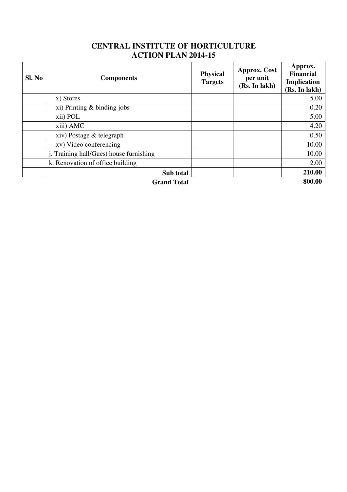| Sl. No             | <b>Components</b>                       | <b>Physical</b><br><b>Targets</b> | <b>Approx. Cost</b><br>per unit<br>(Rs. In lakh) | Approx.<br><b>Financial</b><br>Implication<br>(Rs. In lakh) |
|--------------------|-----------------------------------------|-----------------------------------|--------------------------------------------------|-------------------------------------------------------------|
|                    | x) Stores                               |                                   |                                                  | 5.00                                                        |
|                    | $xi$ ) Printing $\&$ binding jobs       |                                   |                                                  | 0.20                                                        |
|                    | xii) POL                                |                                   |                                                  | 5.00                                                        |
|                    | xiii) AMC                               |                                   |                                                  | 4.20                                                        |
|                    | xiv) Postage & telegraph                |                                   |                                                  | 0.50                                                        |
|                    | xv) Video conferencing                  |                                   |                                                  | 10.00                                                       |
|                    | j. Training hall/Guest house furnishing |                                   |                                                  | 10.00                                                       |
|                    | k. Renovation of office building        |                                   |                                                  | 2.00                                                        |
|                    | Sub total                               |                                   |                                                  | 210.00                                                      |
| <b>Grand Total</b> |                                         |                                   | 800.00                                           |                                                             |